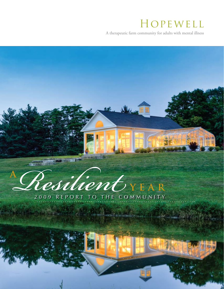## Hopewell

A therapeutic farm community for adults with mental illness

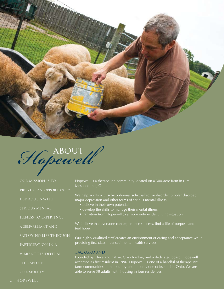

# Hopewell

Our mission is to

provide an opportunity

for adults with

serious mental

illness to experience

a self-reliant and

satisfying life through

participation in a

vibrant residential

therapeutic

community.

Hopewell is a therapeutic community located on a 300-acre farm in rural Mesopotamia, Ohio.

We help adults with schizophrenia, schizoaffective disorder, bipolar disorder, major depression and other forms of serious mental illness

- believe in their own potential
- develop the skills to manage their mental illness
- transition from Hopewell to a more independent living situation

We believe that everyone can experience success, find a life of purpose and feel hope.

Our highly qualified staff creates an environment of caring and acceptance while providing first-class, licensed mental health services.

#### **BACKGROUND**

Founded by Cleveland native, Clara Rankin, and a dedicated board, Hopewell accepted its first resident in 1996. Hopewell is one of a handful of therapeutic farm communities in the country and the only one of its kind in Ohio. We are able to serve 38 adults, with housing in four residences.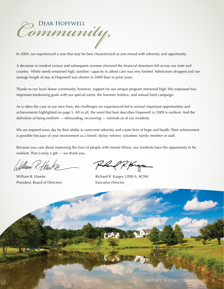*Community,* Dear Hopewell

In 2009, we experienced a year that may be best characterized as one mixed with adversity and opportunity.

A decrease in resident census and subsequent revenue mirrored the financial downturn felt across our state and country. While needs remained high, families' capacity to afford care was very limited. Admissions dropped and our average length of stay at Hopewell was shorter in 2009 than in prior years. 

Thanks to our loyal donor community, however, support for our unique program remained high. We surpassed two important fundraising goals with our special event, the Summer Solstice, and annual fund campaign.

As is often the case in our own lives, the challenges we experienced led to several important opportunities and achievements highlighted on page 5. All in all, the word that best describes Hopewell in 2009 is *resilient*. And the definition of being resilient — rebounding, recovering — reminds us of our residents.

We are inspired every day by their ability to overcome adversity and create lives of hope and health. Their achievement is possible because of your involvement as a friend, donor, referrer, volunteer, family member or staff.

Because you care about improving the lives of people with mental illness, our residents have the opportunity to be resilient. That is truly a gift — we thank you.

William R. Hank

President, Board of Directors Executive Director

Puland R. forgs

William R. Hawke **William R. Hawke Richard R. Karges, LISW-S, ACSW**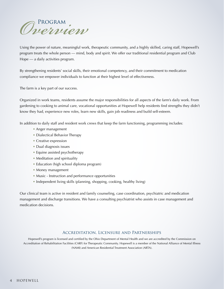

Using the power of nature, meaningful work, therapeutic community, and a highly skilled, caring staff, Hopewell's program treats the whole person — mind, body and spirit. We offer our traditional residential program and Club Hope — a daily activities program.

By strengthening residents' social skills, their emotional competency, and their commitment to medication compliance we empower individuals to function at their highest level of effectiveness.

The farm is a key part of our success.

Organized in work teams, residents assume the major responsibilities for all aspects of the farm's daily work. From gardening to cooking to animal care, vocational opportunities at Hopewell help residents find strengths they didn't know they had, experience new roles, learn new skills, gain job readiness and build self-esteem.

In addition to daily staff and resident work crews that keep the farm functioning, programming includes:

- Anger management
- Dialectical Behavior Therapy
- Creative expression
- Dual diagnosis issues
- Equine assisted psychotherapy
- Meditation and spirituality
- Education (high school diploma program)
- Money management
- Music Instruction and performance opportunities
- Independent living skills (planning, shopping, cooking, healthy living)

Our clinical team is active in resident and family counseling, case coordination, psychiatric and medication management and discharge transitions. We have a consulting psychiatrist who assists in case management and medication decisions.

#### Accreditation, Licensure and Partnerships

Hopewell's program is licensed and certified by the Ohio Department of Mental Health and we are accredited by the Commission on Accreditation of Rehabilitation Facilities (CARF) for Therapeutic Community. Hopewell is a member of the National Alliance of Mental Illness (NAMI) and American Residential Treatment Association (ARTA).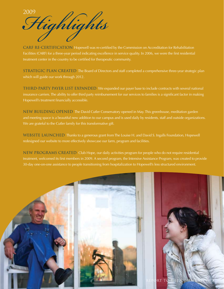<sup>2009</sup> Highlights

CARF RE-CERTIFICATION Hopewell was re-certified by the Commission on Accreditation for Rehabilitation Facilities (CARF) for a three-year period indicating excellence in service quality. In 2006, we were the first residential treatment center in the country to be certified for therapeutic community.

STRATEGIC PLAN CREATED The Board of Directors and staff completed a comprehensive three-year strategic plan which will guide our work through 2012.

THIRD-PARTY PAYER LIST EXPANDED We expanded our payer base to include contracts with several national insurance carriers. The ability to offer third party reimbursement for our services to families is a significant factor in making Hopewell's treatment financially accessible.

NEW BUILDING OPENED The David Cutler Conservatory opened in May. This greenhouse, meditation garden and meeting space is a beautiful new addition to our campus and is used daily by residents, staff and outside organizations. We are grateful to the Cutler family for this transformative gift.

WEBSITE LAUNCHED Thanks to a generous grant from The Louise H. and David S. Ingalls Foundation, Hopewell redesigned our website to more effectively showcase our farm, program and facilities.

NEW PROGRAMS CREATED Club Hope, our daily activities program for people who do not require residential treatment, welcomed its first members in 2009. A second program, the Intensive Assistance Program, was created to provide 30-day one-on-one assistance to people transitioning from hospitalization to Hopewell's less structured environment.

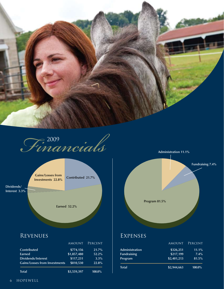



**Gains/Losses from Investments 22.8%** 

**Dividends/ Interest 3.3%** **Contributed 21.7%** 

**Earned 52.2%** 

# **Program 81.5%**

**Administration 11.1%**

**Fundraising 7.4%**

#### **REVENUES**

|                                      | <b>AMOUNT</b> | PERCENT  |
|--------------------------------------|---------------|----------|
| <b>Contributed</b>                   | \$774,156     | 21.7%    |
| Earned                               | \$1,857,480   | $52.2\%$ |
| Dividends/Interest                   | \$117,231     | 3.3%     |
| <b>Gains/Losses from Investments</b> | \$810,530     | 22.8%    |
| <b>Total</b>                         | \$3,559,397   | 100.0%   |

#### Expenses

| <b>Total</b>       | \$2,944,663   | 100.0%  |
|--------------------|---------------|---------|
| Program            | \$2,401,213   | 81.5%   |
| <b>Fundraising</b> | \$217,199     | 7.4%    |
| Administration     | \$326,251     | 11.1%   |
|                    | <b>AMOUNT</b> | PERCENT |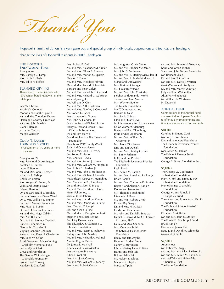*Thank You*

Hopewell's family of donors is a very generous and special group of individuals, corporations and foundations, helping to change the lives of Hopewell residents in 2009. Thank you.

#### The Hopewell

Endowment Fund Anonymous Mrs. Carolyn C. Lampl Mrs. Lucia<sup>'</sup>S. Nash Mrs. Billie H. Steffee

#### PLANNED GIVING

Thank you to the individuals who have remembered Hopewell in their estate plans.

Jane W. Christie Martine V. Conway Morton and Natalie Epstein Mr. and Mrs. Theodore Fabyan Helen and Geofrey Greenleaf Kitty and John Makley Clara T. Rankin Jordan A. Truthan Margie Wheeler

#### Clara T. Rankin

FOUNDERS SOCIETY In recognition of 10 years or more of giving.

Anonymous (2) Mrs. Raymond Q. Armington Kathleen L. Barber James E. Bennett Mr. and Mrs. John J. Bernet Jonathan S. Bishop Charles P. Bolton Mrs. Kenyon C. Bolton, Sr. Willis and Martha Boyer Edward Brandon Dr. and Mrs. Jerald S. Brodkey Barbara Brown and Steve Ward Dr. & Mrs. William E. Bruner Burton D. Morgan Foundation Mrs. Noah L. Butkin J.C. and Helen Rankin Butler Mr. and Mrs. Hugh Calkins Mrs. Ann B. Carter Dr. and Mrs. Helmut Cascorbi Isabel D. Chamberlin George N. Chandler II Virginia Osborne Charman Melvin J. and Kaye H. Chavinson Mrs. Ellen W. Chinn Alvah Stone and Adele Corning Chisholm Memorial Fund Bob and Jane Clark Cleveland Foundation The George W. Codrington Charitable Foundation Lynda Elliott Conway Kathleen S. Crawford

Mrs. Robert R. Cull Mr. and Mrs. Alexander M. Cutler Mr. and Mrs. Oliver F. Emerson Mr. and Mrs. Morton G. Epstein Eleanor E. Everett Mr. and Mrs. Theodore Fabyan Dr. and Mrs. Ronald G. Fountain Barbara and Peter Galvin Mr. and Mrs. Rudolph H. Garfield Mr. and Mrs. Richard C. Garretson vic and joan gelb Mr. William D. Ginn Mr. and Mrs. A.B. Glickman Mr. and Mrs. Geofrey J. Greenleaf Mr. Robert D. Gries Mrs. Laurence K. Groves Mrs. John A. Hadden, Jr. Mary Louise and Richard Hahn Harry K. Fox and Emma R. Fox Charitable Foundation Iris and Tom Harvie Mandorel Fund of The Cleveland Foundation Hawthorn, PNC Family Wealth Sally and Oliver Henkel Mr. and Mrs. John F. Herrick Mr. Robert T. Hexter Mrs. Charles Hickox Mr. and Mrs. Robert J. Himler Mr. and Mrs. William M. Hogan III Mrs. Arthur S. Holden, Jr. Mr. and Mrs. John B. Hollister, Jr. Mr. and Mrs. Michael J. Horvitz Mr. and Mrs. George M. Humphrey II Mrs. Marguerite B. Humphrey Dr. and Mrs. Scott R. Inkley Mr. and Mrs. Theodore T. Jones Henri Pell Junod, Jr. Ursula Korneitchouk Mr. and Mrs. J. Andrew Kundtz Mr. and Mrs. Dennis W. LaBarre Mrs. Carolyn C. Lampl Hal and Susan LaPine Dr. and Mrs. L. Douglas Lenkoski Stephen and Lillian Levine Ms. Toby Devan Lewis The Edward A. & Catherine L. Lozick Foundation Mr. and Mrs. Joseph J. Mahovlic Kathryn and John Makley Mr. and Mrs. Richard A. Manuel Martha Rogers Marsh Dr. James S. Marshall Charles and Susan Marston Mrs. Margaret B. Marting Julien L. McCall Mrs. Arch J. McCartney Mr. and Mrs. William C. McCoy Merry and Rob McCreary

Mrs. Augustus C. McDaniel Mr. and Mrs. Homer McDaniel Mrs. John S. McLennan Mr. and Mrs. S. Sterling McMillan III Mr. and Mrs. A. Malachi Mixon III Marge and Dan Moore Mrs. Burton D. Morgan Ms. Suzanne Morgan Mr. and Mrs. John C. Morley Stephen and Amanda Morris Thomas and Jane Morris Mrs. Werner Mueller The Murch Foundation NACCO Industries, Inc. Barbara B. Nash Mrs. Lucia S. Nash Ellen and Stuart Neye M. I. Nurenberg and Joanne Klein Chloe Warner Oldenburg Buster and Bob Oldenburg Lydia Bruner Oppmann Mr. and Mrs. William M. Osborne, Jr. Mr. Henry Ott-Hansen Jane and Jon Outcalt Mr. and Mrs. Stanley C. Pace Ms. Emily Parkman Kathy and Jim Pender The Elisabeth Severance Prentiss Foundation Pysht Fund Mrs. Alfred M. Rankin Mr. and Mrs. Alfred M. Rankin, Jr. Bruce Rankin Mr. and Mrs. Claiborne R. Rankin Roger F. and Alison A. Rankin Donna and James Reid Mrs. Thomas T. Richmond Elizabeth H. Rose Mr. and Mrs. Robert J. Roth Kit and Ray Sawyer Dr. and Mrs. H. A. Scali Cindy and Rick Schulz Mr. John and Dr. Sally Schulze Daniel E. Schweid, MD & Carolee K. Lesyk, Ph.D. Laura and Mike Shannon Mrs. Gretchen Smith The Kelvin & Eleanor Smith Foundation Becky and Jeff Smythe Peter and Bridget Steck Nancy C. Stevenson John and Mary Lane Sullivan Franny and Seth Taft Bill and Edith Taft Mr. Nelson S. Talbott Margaret G. Taplin Margaret Tippit

Mr. and Mrs. Lyman H. Treadway Karin and Jordan Truthan Susan and John Turben Foundation Mr. Tinkham Veale II Dr. and Mrs. T.R. Warm Mr. and Mrs. David I. Warren Mark Warren and Lisa Lystad Dr. and Mrs. Marvin Wasman Judy and Dan Weidenthal Alton W. Whitehouse Mr. William A. Wortzman N. Zaworski

#### ANNUAL FUND

Contributions to the Annual Fund are essential to Hopewell's ability to offer quality programming and financial assistance to our residents.

#### **\$10,000 +**

Caroline B. Emeny CLAT Ms. Toby Devan Lewis Eric and Jane Nord Foundation The Elisabeth Severance Prentiss Foundation Mrs. Alfred M. Rankin The Kelvin & Eleanor Smith Foundation George B. Storer Foundation, Inc.

#### **\$5,000 +**

The George W. Codrington Charitable Foundation Harry K. Fox and Emma R. Fox Charitable Foundation Home Savings Charitable Foundation George M. and Pamela S. Humphrey Fund The Milton and Tamar Maltz Family Foundation The Ruth and Samuel Markoff Foundation Elizabeth F. McBride Mr. and Mrs. John C. Morley The Edwin D. Northrup II Fund Bruce Rankin Donna and James Reid Betty T. and David M. Schneider Margaret G. Taplin

#### **\$2,500 +**

Anonymous Mr. Robert W. Briggs Mr. and Mrs. A. Malachi Mixon III Mr. and Mrs. Alfred M. Rankin, Jr. Michael Talty and Helen Talty Charitable Trust The Veale Foundation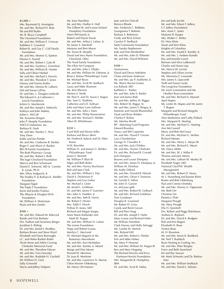**\$1,000 +**  Mrs. Raymond Q. Armington Mr. and Mrs. Richard H. Bole Pat and Bill Butler Mr. R. Bruce Campbell The Cleveland Foundation Mr. and Mrs. William E. Conway Kathleen S. Crawford Robert R. and Gay C. Cull Family Foundation Mr. and Mrs. Morton G. Epstein Eleanor E. Everett Mr. and Mrs. Robert I. Gale III Mr. and Mrs. Geofrey J. Greenleaf Mr. and Mrs. William R. Hawke Sally and Oliver Henkel Mr. and Mrs. Michael J. Horvitz Mr. and Mrs. Theodore T. Jones Harvey and Norma Kotler Mr. and Mrs. Dennis W. LaBarre Hal and Susan LaPine Dr. and Mrs. L. Douglas Lenkoski The Edward A. & Catherine L. Lozick Foundation JoAnn G. MacKenzie Mr. and Mrs. Joseph J. Mahovlic Kathryn and John Makley Julien L. McCall Ms. Suzanne Morgan John P. Murphy Foundation NACCO Industries, Inc. Barbara B. Nash Mr. and Mrs. Stanley C. Pace Tony Drew Kathy and Jim Pender Mr. and Mrs. Claiborne R. Rankin Roger F. and Alison A. Rankin RIG III Family Foundation The Roth Pharmacy Group Mr. and Mrs. Robert J. Roth The Sage Cleveland Foundation Marcia and Ron Schumann Daniel E. Schweid, MD & Carolee K. Lesyk, Ph.D. Mrs. Ellery Sedgwick, Jr. The Dudley P. & Barbara K. Sheffler Foundation Margaret Tippit The Triple T Foundation Karin and Jordan Truthan The Allayne & Douglas Wick Foundation Mr. William A. Wortzman Paula and Ken Zeisler

#### **\$500 +**

Mr. and Mrs. Edward M. Babcock Randy and Gini Barbato Drs. Nathan and Sosamma Berger Jonathan S. Bishop Dr. and Mrs. Jerald S. Brodkey Barbara Brown and Steve Ward Elizabeth and Davis Burroughs J.C. and Helen Rankin Butler Alvah Stone and Adele Corning Chisholm Memorial Fund

Mr. and Mrs. Theodore Fabyan Mr. and Mrs. Yves Faroudja Mr. and Mrs. Rudolph H. Garfield Mr. William D. Ginn Sally Griswold Stacie and Jeffrey Halpern

Ms. Joan Hamilton Mr. and Mrs. Hadlai A. Hull The Gilbert W. and Louise Ireland Humphrey Foundation Henri Pell Junod, Jr. Robert and Elayne Kwait Mr. and Mrs. Arthur J. Lafave, Jr. Dr. James S. Marshall Marjorie and Bert Moyar Ms. Susan B. Murphy David and Inez Myers Foundation, Cleveland, Ohio The Nord Family Foundation The Ohio Art Company Mr. and Mrs. John J. Olejko Mr. and Mrs. William M. Osborne, Jr. Brian J. Ratner Philanthropic Fund Mr. Michael Rozic Mr. and Mrs. Scott W. Seelbach Laura and Mike Shannon Ms. Kim Sherwin Morton S. Smith Mr. Paul A. and Dr. Susan J. Stagno Mrs. Sam G. Stubbins Catherine and J.D. Sullivan John and Mary Lane Sullivan Mr. and Mrs. John J. Tanis Mr. and Mrs. Philip Wasserstrom Mr. and Mrs. Richard J. Welder Alton W. Whitehouse

#### **\$250 +**

Carol Rolf and Steven Adler Barbara and Bruce Akers Mr. Frederick Asbeck and Dr. Ellen Rome H.W. Beechler William H. and Jeanne G. Belden Philanthropic Fund James E. Bennett Mr. William P. Blair III Edgar and Beth Boles Mr. and Mrs. Harvey Buchanan Bob and Jane Clark Mr. and Mrs. William J. Day David S. Dickenson II Stephen and Lisa Geber Mr. Michael J. Geier Mr. Jerold L. Goldman Dr. and Mrs. James P. Guerrieri Mrs. John A. Hadden, Jr. Mr. and Mrs. Seth B. Harris Mr. Robert T. Hexter Mrs. Edith F. Hirsch Pythias D. Jones, MD Richard and Megan Karges Anne Marie Kollander and Mark W. Teague Mr. and Mrs. William H. Lafave The Lerner Foundation Hope and Robert Lomas Marilyn C. MacLeod Dr. Michael Maguire & Ms. Rosemary Macedonio Mr. and Mrs. Kurt McMaken Mr. and Mrs. Stanley A. Meisel Marge and Dan Moore Donald W. Morrison Dr. Joan R. Mortimer Mr. and Mrs. Lawrence N. Murray Chloe Warner Oldenburg Mr. Henry Ott-Hansen

Jane and Jon Outcalt Bernice Rhode Mrs. Frederick C. Robbins Georgianna T. Roberts Barbara S. Robinson Cindy and Rick Schulz Carolyn P. Seelbach Stark Community Foundation Ms. Sandra Stephenson Judy and Dan Weidenthal Mr. and Mrs. John D. Wheeler Mr. and Mrs. David Williams

#### $$100 +$

Anonymous David and Devra Adelstein Chase and Josie Anderson Mr. and Mrs. Jay P. AuWerter, Jr. Ms. Sherry Bacon-Graves Les Ballard, MD Kathleen L. Barber Mr. and Mrs. John S. Barker Jean and James Biek Mr. and Mrs. Jeffrey M. Biggar Mrs. Robert M. Biggar, Sr. Mr. and Mrs. James S. Bingay, Jr. Marlene and Harold Blumenthal Hyatt and Brian Bolden Charles P. Bolton Ms. Marilou Booth BP - Matching Fund Programs Edward Brandon Nancy and Bill Carpenter Mr. and Mrs. David P. Cerone Lucy Chamberlain George N. Chandler II Mr. and Mrs. Jack Childers Mr. and Mrs. Homer Chisholm Dr. and Mrs. Richard B. Corradi Jack Dampeer Bourne and Louise Dempsey Mr. and Mrs. James H. Dempsey, Jr. William M. Denihan Ms. Kathy Difford Mr. and Mrs. Donald B. Eklund Mr. and Mrs. Oliver F. Emerson Mr. Gerald A. Fallon Mr. John D. Garson vic and joan gelb Mr. and Mrs. Robert W. Gelbach Mr. and Mrs. Richard Goldman Tom Goodman Douglas R. Gowland Mr. Robert D. Gries Candy and Brent Grover Bill and Pam Haag Dr. and Mrs. Joseph F. Hahn Mary Louise and Richard Hahn Mr. William Hamilton Clark Harvey and Holly Selvaggi Ms. Lorelei M. Hertvik Mrs. Roland Hill Mr. and Mrs. Robert J. Himler Erin and Mike Hobey Ms. Mary P. Hoerner Mr. and Mrs. William M. Hogan III Ken and Mary Hopping The Richard Horvitz and Erica Hartman-Horvitz Foundation Mrs. Marguerite B. Humphrey IBM Dr. and Mrs. Scott R. Inkley

Jim and Judy Jacobs Mr. and Mrs. Edwin T. Jeffery E.T. Jeffery Foundation Mrs. Anne C. Juster Marjorie R. Karges Mrs. Walter C. Kelley Dr. Nina Klein Stuart and Terri Kline Knights of Columbus Mr. and Mrs. Ewald E. Kundtz, Jr. Mr. and Mrs. J. Andrew Kundtz Ray and Jennifer Leach Bertram and Alice Lefkowich Charles and Susan Leja Ms. Marcia W. Levine Stephen and Lillian Levine Ms. Marianna E. Lewanski Mrs. James S. Lipscomb Todd and Susan Locke The Longview Foundation Mr. Irwin Lowenstein and Ms. Heather Ross-Lowenstein Mr. and Mrs. Richard A. Manuel April Mapes Ms. Leslie M. Mapes and Mr. Justin T. Rogers Margaret and Richard Margolis Philanthropic Fund Alan Markowitz and Cathy Pollard Mrs. Margaret B. Marting Mr. and Mrs. Michael G. Marting Ann McConnell Merry and Rob McCreary Dr. and Mrs. Michael G. McKee Richard Meister Mr. and Mrs. Henry L. Meyer III Mr. and Mrs. Richard S. Meyer Ms. Darcy Miller Mr. and Mrs. W. J. Miller II Thomas and Jane Morris Mr. and Mrs. Latham W. Murfey III Elizabeth Nagel, MD National City/PNC Wealth Management Mr. and Mrs. Robert D. Neary M. I. Nurenberg and Joanne Klein Buster and Bob Oldenburg Paul and Connie Omelsky Mr. and Mrs. Harvey G. Oppmann Ms. Beth Orr Christine Orr Pamela J. Plott Margaret Prough Ms. Mary Prough Ella H. Quintrell Drs. Robert and Peggy Ratcheson Andrew K. Rayburn Dr. and Mrs. David A. Rodgers Rob and Kris Rogers Elizabeth H. Rose Norton Rose M. H. Rountree Mr. and Mrs. Kevin K. Ruddock Mr. Neil T. Ruddock Ryan Heating & Cooling, Inc. Mr. and Mrs. Peter Rzepka Franz and Beth Sauerland Kit and Ray Sawyer Mr. Mark Schwartz and Dr. Bettina Katz Mr. and Mrs. William Seelbach Mr. and Mrs. David L. Selman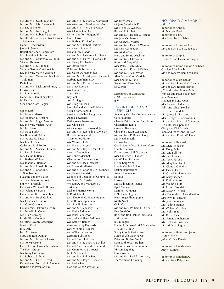Mr. and Mrs. Kevin B. Shaw Mr. and Mrs. John Sherwin, Jr. Ms. Laura Shetler Mr. and Mrs. Fred Siegel Mr. and Mrs. Robert F. Sposito Mr. David S. Silber and Ms. Devora Steinmetz Nancy C. Stevenson James R. Stover Robert and Chary Sundstrom Mrs. Lorraine S. Szabo Mr. and Mrs. Courtenay O. Taplin Vincent Thomas Mr. and Mrs. F. J. Tone III Senator George V. Voinovich Dr. and Mrs. Marvin Wasman Mr. Jerome F. Weiss and Ms. Judith Salomon Pysht Fund Mr. and Mrs. Dickson Whitney, Jr. Ed Wortzman Ms. Rachel Yedid Nancy and Daniel Zavelson N. Zaworski Susan and Marc Ziegler

#### **Up to \$100**

Ms. Myra Anderson Mr. Jonathan E. Arnstine Mr. and Mrs. Roger Arnstine Dr. and Mrs. Michael Arvin Mr. Trip Ayers Mr. Doug Bailey Ms. Bonnie M. Baker Mrs. Aloise O. Bates Ms. Julie C. Beal Cathy and Paul Becker Mr. and Mrs. Marshall T. Bedol Ms. Lara Belliston Mrs. Elaine B. Bercu Ms. Barbara W. Berman Ms. Joanne Z. Berman Mr. and Mrs. Ronald Bishop Mr. and Mrs. Charles A. Bittenbender Suzanne and Jim Blaser Tom and Margo Brackett Emily H. Brasfield Dr. & Mrs. William E. Bruner Mrs. Glenda F. Bussell Frances and Peter Buttenheim Mr. and Mrs. Hugh Calkins Ms. Candace J. Carlton Ms. Carol Carstens Dr. and Mrs. Helmut Cascorbi Mr. Franklin R. Cohen Mr. Brian Conway Lynda Elliott Conway Christine Cowan-Gascoigne Marilyn Cunin B. J. Daly Jean G. Daniel Mary and Rob Dunbar Mr. and Mrs. Bruce D. Evans Ms. Tonya Fasone Drs. John and Elizabeth Feighan The Form Group Ms. Mary Jane Frank Ms. Rebecca S. Frank Mr. and Mrs. Gary E. Freed Dr. and Mrs. Bernard H. Friedman Barbara and Peter Galvin

Mr. and Mrs. Richard C. Garretson Ms. Maureve T. Goldhamer, MA Mr. and Mrs. Michael E. Grady Ms. Claudia Guinther Kirsten and Tom Hagesfeld Jane Harris Ms. Barbara D. Hartford Mr. and Mrs. Robert Hartford Ms. Marcia Hartsock Iris and Tom Harvie Mr. and Mrs. Lawrence H. Hatch Mr. and Mrs. Harry P. Hawkes, Jr. Mr. Henry H. Hawley Mr. James Healy Polly and Bob Hermann Ms. Carrol A. Hernandez Mr. and Mrs. Christopher Hitchcock Barbara Kaufman, MD Mr. and Mrs. Richard Kawalek Ms. Stacy Keenan Ms. Linda Z. Kelly Susan Kent KeyBank Ann F. Kiggen Mr. Kraig Knudsen Herschel and Maxine Koblenz Ursula Korneitchouk Marilyn and Chris Langmack Angela Lawrence Kathy Keare Leavenworth Ms. Chris Leja Mrs. George S. Lockwood, Jr. Mr. and Mrs. Kenneth E. Lowe, Sr. Beverly Ludwig and Stanley M. Fisher Ms. Wilma J. Lutz Ms. Rosemary Lynch Mr. and Mrs. Boyd E. Mapstone Martha Rogers Marsh Mr. Robert Marshall Charles and Susan Marston Mr. and Mrs. Jack Matejka Mr. Bruce McAllester Mr. and Mrs. Charles C. McConnell Mr. Hamid Mehrizi Middlefield Chamber of Commerce Ms. Susan M. Missler William A. and Margaret N. Mitchell Mel and Harriet Morris E. R. Motch III Mrs. Deborah C. Nixon-Hughes Lydia Bruner Oppmann Mrs. Phyllis Panzano Mr. and Mrs. Zachary T. Paris Ms. Emily Parkman Ms. Janel Pequignot Michael and Shari Perlmuter Ms. Kathryn Remer Greg and Amy Reynolds Mrs. Virginia L. Rogers Mr. William V. Rubin Marjorie Bell Sachs Dr. and Mrs. H. A. Scali Mr. and Mrs. Richard A. Schiller Dr. and Mrs. Richard C. Schmidt Ms. Courtney A. Schroeter Jill K. Schumacher Mr. and Mrs. Ralph Seed Mr. and Mrs. Roger E. Seefeld Ms. Holly Setto Dan and Anne Skowronski

Mr. Peter Steele M. Jane Suresky, N.D. Ms. Helen A. Sweeney Bill and Edith Taft Mr. and Mrs. Joseph G. Teague Ms. Jane Van Fossan Mr. George S. Vassos Mr. and Mrs. David I. Warren Ms. Kris Washington Ms. Martha Wasserman Herb and Lynne Wechsler Mr. and Mrs. Jeff Weeden Betsy and Gary Weimer Mrs. Polly Bruch White Mr. and Mrs. David J. Wither Mr. and Mrs. Alan Wood Alan D. and Gloria Wright Mrs. Sharon K. Yanek Steven and Kyan Zeller Ed Zierold

**Matching Gift Companies** GAR Foundation IBM

#### IN-KIND GIFTS AND SERVICES

Academy Graphic Communication Carter Lumber Chagrin Pet & Garden Supply, Inc. Chesterland Rental Colonial Beverage Christine Cowan-Gascoigne Mr. and Mrs. R. Breck Denny Ms. Heather Earls Geauga Fair Good Nature Organic Lawn Care Graphic Repros Dr. and Mrs. Neil Greenspan Mrs. Laurence K. Groves Mr. William Hamilton Heidelberg Wine Hunting Valley Police Lasting Impressions Angela Lawrence L'Nique Lowe's Ms. Kathleen M. Manyo April Mapes Martines' Antiques NAC Technologies New Image Photography Molly Nook Ohio Cat Mr. and Mrs. William J. O'Neill, Jr. Park Seed Co. Rock and Roll Hall of Fame and Museum Justin Rogers Daniel E. Schweid, MD & Carolee K. Lesyk, Ph.D. Shady Oak Butterfly Farm Spice of Life Catering Co. Peter and Bridget Steck Karin and Jordan Truthan Urban Growers Greenhouse Vincent Lighting Loren Warner Mr. and Mrs. Paul E. Westlake, Jr. The Wortman Company

#### HONORARY & MEMORIAL

GIFTS **In honor of Anne R.** Mr. Michael Rozic **In honor of Bill G.** Mrs. Dorothy M. Nelson

**In honor of Bruce Rankin** Mr. and Mrs. Scott W. Seelbach

**In honor of Chip B.** Elizabeth and Davis Burroughs

**In honor of Chloe Rankin Seelbach** Carolyn P. Seelbach Mr. and Mrs. William Seelbach

**In honor of Clara Rankin** Mr. and Mrs. Edward M. Babcock Mr. and Mrs. Ronald Bishop J.C. and Helen Rankin Butler Frances and Peter Buttenheim Jack Dampeer Stephen and Lisa Geber Mrs. John A. Hadden, Jr. Sally and Oliver Henkel Henri Pell Junod, Jr. Mrs. James S. Lipscomb Mrs. George S. Lockwood, Jr. Mr. and Mrs. Michael G. Marting Lydia Bruner Oppmann Cindy and Rick Schulz John and Mary Lane Sullivan Mr. and Mrs. David Williams

**In honor of Dee Roth** Ms. Myra Anderson Mr. Doug Bailey Ms. Lara Belliston Ms. Carol Carstens Ms. Tonya Fasone Ms. Mary Jane Frank Ms. Claudia Guinther Mr. lames Healy Ms. Carrol A. Hernandez Ms. Stacy Keenan Mr. Kraig Knudsen Ms. Wilma J. Lutz Mr. Hamid Mehrizi Ms. Susan M. Missler Mrs. Deborah C. Nixon-Hughes Mrs. Phyllis Panzano Ms. Janel Pequignot Ms. Kathryn Remer Mr. William V. Rubin Ms. Holly Setto Mr. Peter Steele Ms. Sandra Stephenson Ms. Helen A. Sweeney Ms. Kris Washington

**In honor of Helen and John MacKenzie** JoAnn G. MacKenzie

**In honor of Joe Mahovlic** Ann McConnell

**In honor of Jonathan A.** Mr. and Mrs. Ralph Seed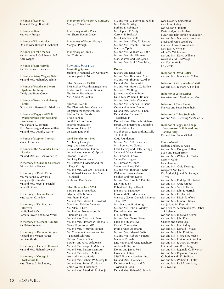**In honor of Karen A.** Tom and Margo Brackett

**In honor of Ken P.** Ms. Mary Prough

**In honor of Kitty Makley** Dr. and Mrs. Richard C. Schmidt

**In honor of Leslie Mapes** Ms. Maureve T. Goldhamer, MA April Mapes

**In honor of Lori Hertvik** Ms. Marianna E. Lewanski

**In honor of Mary Wagley Galeti** Mr. and Mrs. Richard A. Schiller

**In honor of Natalie and Mort Epstein's birthdays** Candy and Brent Grover

**In honor of Norma and Harvey Kotler** Dr. and Mrs. Bernard H. Friedman

**In honor of Peggy and Philip Wasserstrom's 50th wedding anniversary** Ms. Barbara W. Berman M. I. Nurenberg and Joanne Klein Mr. and Mrs. David I. Warren

**In honor of Stephen Thomas** Vincent Thomas

**In honor of the Alexander Cutler Family** Mr. and Mrs. Jay P. AuWerter, Jr.

**In memory of Suzanne Castellani** Erin and Mike Hobey

**In memory of David Cutler** Ms. Marianna E. Lewanski Kathy and Jim Pender Mr. and Mrs. Roger E. Seefeld James R. Stover

**In memory of Jeanne Hansell** Mrs. Walter C. Kelley

**In memory of Dr. Shattuck Hartwell** Les Ballard, MD Barbara Brown and Steve Ward

**In memory of Michael Hummer** Mr. Brian Conway

**In memory of Kevin W. Karges** Richard and Megan Karges Bernice Rhode

**In memory of Henry E. Kawalek** Mr. and Mrs. Richard Kawalek

**In memory of George S. Lockwood, Jr.** Mrs. George S. Lockwood, Jr. **In memory of Sheldon A. MacLeod** Marilyn C. MacLeod

**In memory of Alex Peck** Ms. Sherry Bacon-Graves

**In memory of Robert Prough** Margaret Prough

**In memory of Tom H.** Ms. Chris Leja

#### Summer Solstice

**Presenting Sponsor** Sterling, A National City Company, now a part of PNC

**Silver Sponsor - \$5,000** BNY Mellon Wealth Management Cedar Brook Financial Partners The Lerner Foundation Mrs. Alfred M. Rankin

#### **Sponsor - \$2,500**

The Glenmede Trust Company Litigation Management, Inc. Primus Capital Funds Bruce Rankin South Franklin Circle Tecovas Foundation Thompson Hine LLP Dr. Mary June Wall

**Gold Benefactor - \$400** Ms. Tracey Carragher Leigh and Mary Carter Cleveland Women's Journal Mr. and Mrs. Morton G. Epstein Eleanor E. Everett Ms. Toby Devan Lewis Ms. Kathleen J. Mechir and Mr. Regis Garrity Mr. and Mrs. William J. O'Neill, Jr. Mr. Richard Stark and Ms. Susan Mitchell Paula and Ken Zeisler

**Silver Benefactor - \$250** Barbara and Bruce Akers Edgar and Beth Boles Mrs. Frank B. Carr Mr. and Mrs. Edward F. Crawford David and Debbie Daberko Mr. Allen H. Ford Mr. Sheldon Fromson and Ms. Barbara Garson Mr. and Mrs. Thomas A. Futey Mr. and Mrs. Howard W. Hanna IV Nancy K. Johnson, MD Mr. and Mrs. R. Steven Kestner Ms. Charlotte R. Kramer and Mr. Leonard Schwartz Hal and Susan LaPine Bertram and Alice Lefkowich Mr. and Mrs. Joseph J. Mahovlic Mr. and Mrs. Bassem Mansour Mr. and Mrs. John R. Miller Mel and Harriet Morris Mr. and Mrs. Latham W. Murfey III Mr. and Mrs. Robert D. Neary Chloe Warner Oldenburg Mr. and Mrs. Alfred M. Rankin, Jr.

Mr. and Mrs. Claiborne R. Rankin Mrs. Celia G. Riley Barbara S. Robinson Mr. Stephen R. Sealy Carolyn P. Seelbach Mrs. Gretchen Smith Mr. and Mrs. Jeffrey D. Starrett Mr. and Mrs. Joseph D. Sullivan Margaret Tippit Mr. and Mrs. William O. Tuttle Mr. and Mrs. Hal Uhrman Mark Warren and Lisa Lystad Mr. and Mrs. Paul E. Westlake, Jr.

#### **Donor**

Richard and Janet Aach Mr. and Mrs. Thomas R. Abel Mr. and Mrs. Thomas W. Adler Dr. and Mrs. Hymie Akst Mr. and Mrs. Harold O. Bartlett Mr. Robert W. Briggs Jeanette and Glenn Brown Dr. & Mrs. William E. Bruner Mr. and Mrs. Javier Clemente Mr. and Mrs. Charles E. Daane Grant and Jennifer Dinner Dr. and Mrs. Robert M. Eiben Dr. and Mrs. Caldwell B. Esselstyn, Jr. Drs. John and Elizabeth Feighan Forest City Enterprises Charitable Foundation, Inc. Mr. Thomas G. Reid and Ms. Sally L. Futrell GAR Foundation Mr. and Mrs. A.B. Glickman Mrs. Bernice M. Gourse Clark Harvey and Holly Selvaggi Sally and Oliver Henkel Mrs. Charles Hickox Samuel W. Hughes Mrs. Brooks M. Jones Sharon and Larry Kahn Mr. and Mrs. Thomas F. Kahn Walter and Jean Kalberer Stephen and Pam Keefe Mr. and Mrs. Joseph P. Keithley Dr. Nina Klein Robert and Elayne Kwait Jim and Pat Lightbody Carol and Alex Machaskee Mansour, Gavin, Gerlack & Manos Co., LPA Mrs. Margaret B. Marting Mr. and Mrs. John C. Morley Donald W. Morrison E. R. Motch III Mr. and Mrs. Derek Nevar Ellen and Stuart Neye Oswald Companies Lydia Bruner Oppmann Mr. and Mrs. Edward Pavlish Mr. and Mrs. Robert F. Pincus Margaret Prough Drs. Robert and Peggy Ratcheson Andrew K. Rayburn Donna and James Reid Elizabeth H. Rose SS&G Financial Services, Inc. Dr. and Mrs. H. A. Scali Dr. Antonio Scarpa and Dr. Meredith Bond Dr. and Mrs. Richard C. Schmidt

Mrs. David A. Seidenfeld Mrs. H.A. Spring Mr. Nelson S. Talbott Karin and Jordan Truthan Susan and John Turben Foundation Mr. and Mrs. Michael C. Voinovich Steve and Penni Weinberg Gail and Edward Weintraub Mrs. Jean A. Whelan Alton W. Whitehouse Mr. and Mrs. David Williams Marshall and Lind Wright Ms. Rachel Yedid Ed Zierold

**In honor of David Cutler** Mr. and Mrs. Terence M. Collier

**In honor of Mary Wagley Galeti** Mr. and Mrs. Richard A. Schiller

**In honor of Leslie Mapes** Ms. Maureve T. Goldhamer, MA

**In honor of Clara Rankin** Frances and Peter Buttenheim

**In honor of Chloe Seelbach** Mr. and Mrs. S. Sterling McMillan IV

**In honor of Peggy and Philip Wasserstrom's 50th wedding anniversary** Dr. and Mrs. Beno Michel

**Fund-a-Need** Barbara and Bruce Akers Mr. and Mrs. Douglas N. Barr Scott and Susan Brown Mr. and Mrs. William G. Caster Marilyn Cunin Jack Dampeer Mr. and Mrs. Craig Deering Margaret Ann Freer Dr. Frederick J. and Dr. Penny A. Frese Mr. and Mrs. Rudolph H. Garfield Mr. and Mrs. Craig Gretter Mr. and Mrs. Seth B. Harris Mr. and Mrs. John F. Herrick Mr. and Mrs. Kris Jaenicke Mr. and Mrs. Edwin T. Jeffery Mr. and Mrs. Kimon P. Karas Ms. Juliana M. Kascsak Mr. Keith M. Kerman and Ms. Debra S. Leizman Mr. and Mrs. R. Steven Kestner Mr. and Mrs. John Koch Charles and Susan Leja Mr. and Mrs. Jim Lindley Mr. and Mrs. Donald J. Mayer Mr. and Mrs. John R. Miller Mr. and Mrs. Michael R. Mizen Mr. and Mrs. Claiborne R. Rankin Mr. and Mrs. Richard D. Robins Enid and David Rosenberg Mr. and Mrs. Reginald C. Shiverick Mr. and Mrs. Raymond Smiley Catherine and J.D. Sullivan Mr. and Mrs. William O. Tuttle Mr. and Mrs. Paul E. Westlake, Jr. N. Zaworski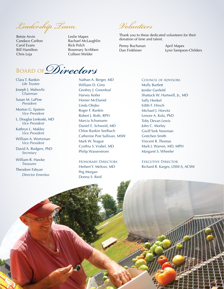*Leadership Team Volunteers*

Betsie Arvin Candace Carlton Carol Evans Bill Hamilton Chris Leja

Leslie Mapes Rachael McLaughlin Rick Polch Rosemary Scribben Colleen Welder

Thank you to these dedicated volunteers for their donation of time and talent.

Penny Buchanan Dan Finkbiner

April Mapes Lynn Sampson-Childers

Board of*Directors*

Clara T. Rankin *Life Trustee*

Joseph J. Mahovlic *Chairman*

Susan M. LaPine *President*

Morton G. Epstein *Vice President*

L. Douglas Lenkoski, MD *Vice President*

Kathryn L. Makley *Vice President*

William A. Wortzman *Vice President*

David A. Rodgers, PhD *Secretary*

William R. Hawke *Treasurer*

Theodore Fabyan *Director Emeritus*

Nathan A. Berger, MD William D. Ginn Geofrey J. Greenleaf Harvey Kotler Homer McDaniel Linda Olejko Roger F. Rankin Robert J. Roth, RPH Marcia Schumann Daniel E. Schweid, MD Chloe Rankin Seelbach Catherine Post Sullivan, MSW Mark W. Teague Cynthia S. Vrabel, MD Philip Wasserstrom

Honorary Directors Herbert Y. Meltzer, MD Peg Morgan Donna S. Reid

Council of Advisors Molly Bartlett Jenifer Garfield Shattuck W. Hartwell, Jr., MD Sally Henkel Edith F. Hirsch Michael J. Horvitz Lenore A. Kola, PhD Toby Devan Lewis John C. Morley Gwill York Newman Gretchen Smith Vincent R. Thomas Mark J. Warren, MD, MPH Margaret S. Wheeler

Executive Director Richard R. Karges, LISW-S, ACSW